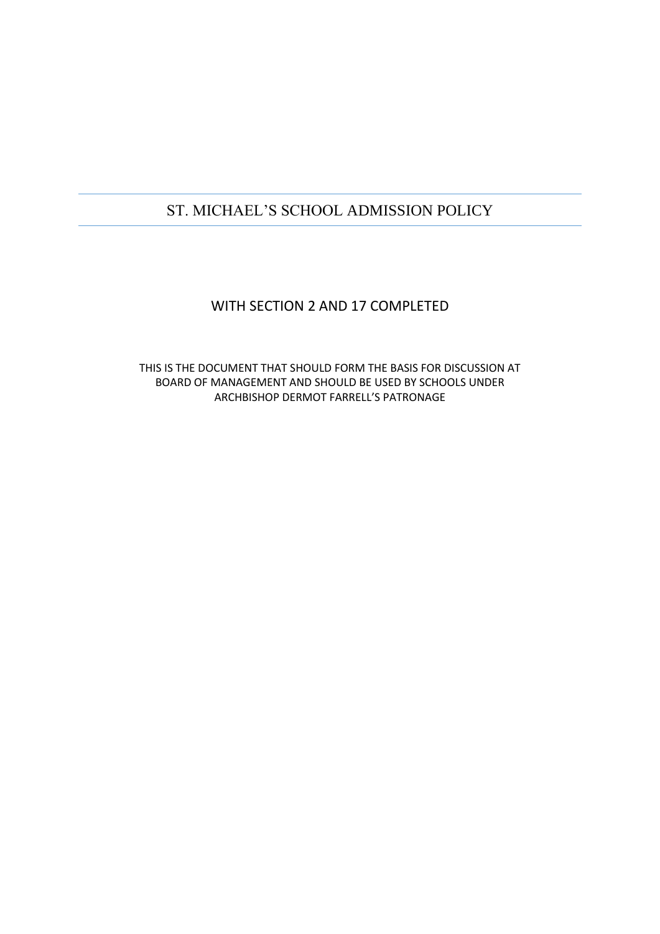# ST. MICHAEL'S SCHOOL ADMISSION POLICY

## WITH SECTION 2 AND 17 COMPLETED

THIS IS THE DOCUMENT THAT SHOULD FORM THE BASIS FOR DISCUSSION AT BOARD OF MANAGEMENT AND SHOULD BE USED BY SCHOOLS UNDER ARCHBISHOP DERMOT FARRELL'S PATRONAGE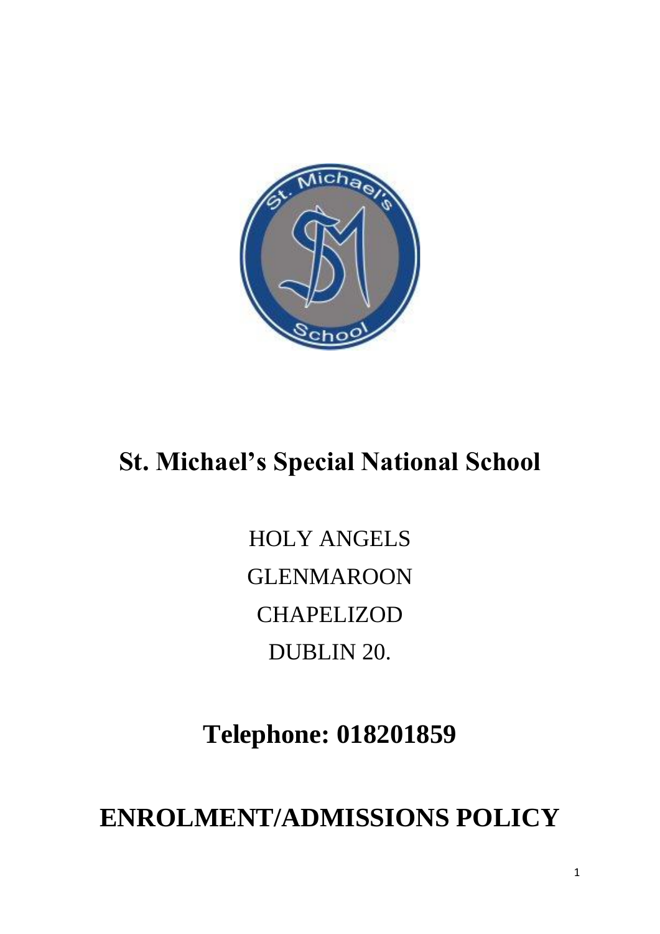

# **St. Michael's Special National School**

HOLY ANGELS GLENMAROON **CHAPELIZOD** DUBLIN 20.

**Telephone: 018201859**

**ENROLMENT/ADMISSIONS POLICY**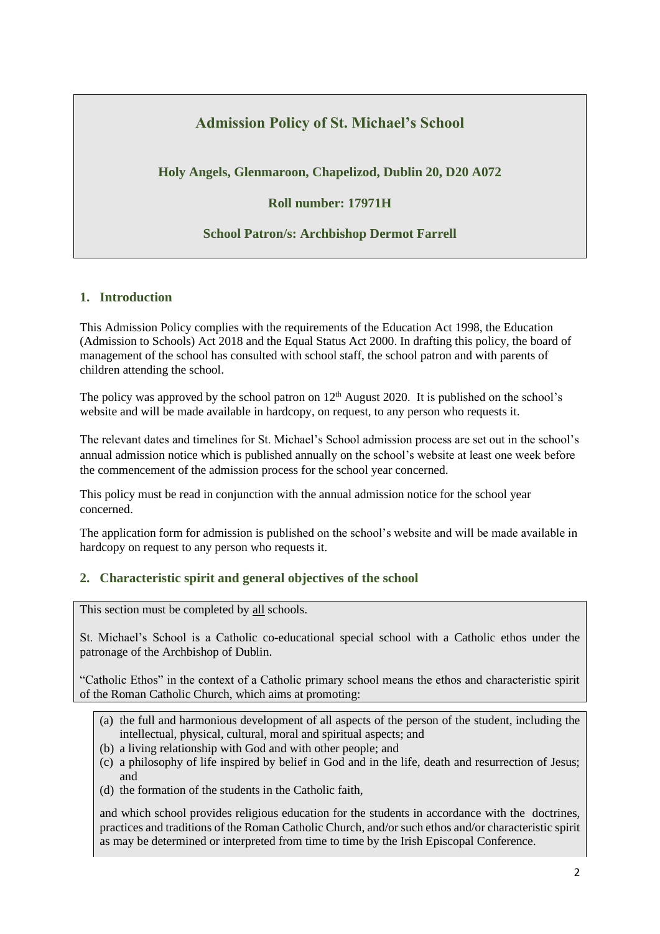## **Admission Policy of St. Michael's School**

**Holy Angels, Glenmaroon, Chapelizod, Dublin 20, D20 A072**

**Roll number: 17971H**

## **School Patron/s: Archbishop Dermot Farrell**

## **1. Introduction**

This Admission Policy complies with the requirements of the Education Act 1998, the Education (Admission to Schools) Act 2018 and the Equal Status Act 2000. In drafting this policy, the board of management of the school has consulted with school staff, the school patron and with parents of children attending the school.

The policy was approved by the school patron on  $12<sup>th</sup>$  August 2020. It is published on the school's website and will be made available in hardcopy, on request, to any person who requests it.

The relevant dates and timelines for St. Michael's School admission process are set out in the school's annual admission notice which is published annually on the school's website at least one week before the commencement of the admission process for the school year concerned.

This policy must be read in conjunction with the annual admission notice for the school year concerned.

The application form for admission is published on the school's website and will be made available in hardcopy on request to any person who requests it.

## **2. Characteristic spirit and general objectives of the school**

This section must be completed by all schools.

St. Michael's School is a Catholic co-educational special school with a Catholic ethos under the patronage of the Archbishop of Dublin.

"Catholic Ethos" in the context of a Catholic primary school means the ethos and characteristic spirit of the Roman Catholic Church, which aims at promoting:

- (a) the full and harmonious development of all aspects of the person of the student, including the intellectual, physical, cultural, moral and spiritual aspects; and
- (b) a living relationship with God and with other people; and
- (c) a philosophy of life inspired by belief in God and in the life, death and resurrection of Jesus; and
- (d) the formation of the students in the Catholic faith,

and which school provides religious education for the students in accordance with the doctrines, practices and traditions of the Roman Catholic Church, and/or such ethos and/or characteristic spirit as may be determined or interpreted from time to time by the Irish Episcopal Conference.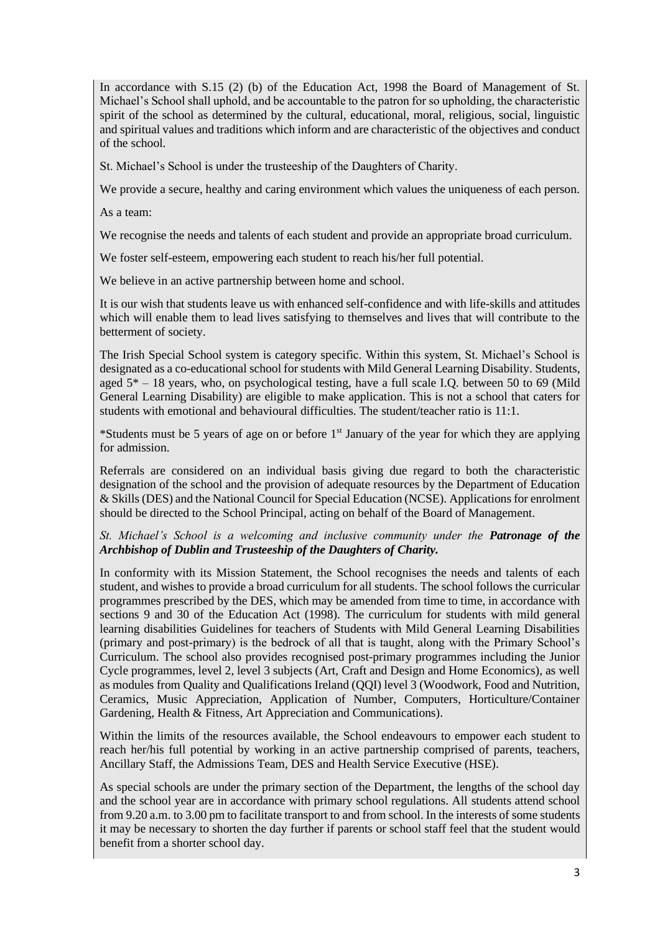In accordance with S.15 (2) (b) of the Education Act, 1998 the Board of Management of St. Michael's School shall uphold, and be accountable to the patron for so upholding, the characteristic spirit of the school as determined by the cultural, educational, moral, religious, social, linguistic and spiritual values and traditions which inform and are characteristic of the objectives and conduct of the school.

St. Michael's School is under the trusteeship of the Daughters of Charity.

We provide a secure, healthy and caring environment which values the uniqueness of each person.

As a team:

We recognise the needs and talents of each student and provide an appropriate broad curriculum.

We foster self-esteem, empowering each student to reach his/her full potential.

We believe in an active partnership between home and school.

It is our wish that students leave us with enhanced self-confidence and with life-skills and attitudes which will enable them to lead lives satisfying to themselves and lives that will contribute to the betterment of society.

The Irish Special School system is category specific. Within this system, St. Michael's School is designated as a co-educational school for students with Mild General Learning Disability. Students, aged  $5* - 18$  years, who, on psychological testing, have a full scale I.O. between 50 to 69 (Mild General Learning Disability) are eligible to make application. This is not a school that caters for students with emotional and behavioural difficulties. The student/teacher ratio is 11:1.

\*Students must be 5 years of age on or before 1st January of the year for which they are applying for admission.

Referrals are considered on an individual basis giving due regard to both the characteristic designation of the school and the provision of adequate resources by the Department of Education & Skills (DES) and the National Council for Special Education (NCSE). Applications for enrolment should be directed to the School Principal, acting on behalf of the Board of Management.

#### *St. Michael's School is a welcoming and inclusive community under the Patronage of the Archbishop of Dublin and Trusteeship of the Daughters of Charity.*

In conformity with its Mission Statement, the School recognises the needs and talents of each student, and wishes to provide a broad curriculum for all students. The school follows the curricular programmes prescribed by the DES, which may be amended from time to time, in accordance with sections 9 and 30 of the Education Act (1998). The curriculum for students with mild general learning disabilities Guidelines for teachers of Students with Mild General Learning Disabilities (primary and post-primary) is the bedrock of all that is taught, along with the Primary School's Curriculum. The school also provides recognised post-primary programmes including the Junior Cycle programmes, level 2, level 3 subjects (Art, Craft and Design and Home Economics), as well as modules from Quality and Qualifications Ireland (QQI) level 3 (Woodwork, Food and Nutrition, Ceramics, Music Appreciation, Application of Number, Computers, Horticulture/Container Gardening, Health & Fitness, Art Appreciation and Communications).

Within the limits of the resources available, the School endeavours to empower each student to reach her/his full potential by working in an active partnership comprised of parents, teachers, Ancillary Staff, the Admissions Team, DES and Health Service Executive (HSE).

As special schools are under the primary section of the Department, the lengths of the school day and the school year are in accordance with primary school regulations. All students attend school from 9.20 a.m. to 3.00 pm to facilitate transport to and from school. In the interests of some students it may be necessary to shorten the day further if parents or school staff feel that the student would benefit from a shorter school day.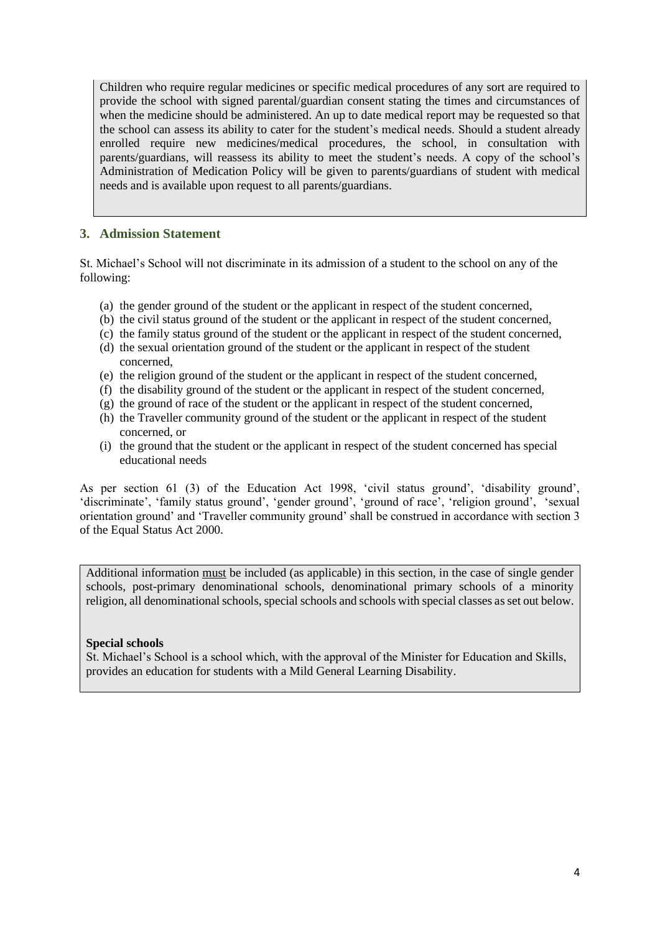Children who require regular medicines or specific medical procedures of any sort are required to provide the school with signed parental/guardian consent stating the times and circumstances of when the medicine should be administered. An up to date medical report may be requested so that the school can assess its ability to cater for the student's medical needs. Should a student already enrolled require new medicines/medical procedures, the school, in consultation with parents/guardians, will reassess its ability to meet the student's needs. A copy of the school's Administration of Medication Policy will be given to parents/guardians of student with medical needs and is available upon request to all parents/guardians.

## **3. Admission Statement**

St. Michael's School will not discriminate in its admission of a student to the school on any of the following:

- (a) the gender ground of the student or the applicant in respect of the student concerned,
- (b) the civil status ground of the student or the applicant in respect of the student concerned,
- (c) the family status ground of the student or the applicant in respect of the student concerned,
- (d) the sexual orientation ground of the student or the applicant in respect of the student concerned,
- (e) the religion ground of the student or the applicant in respect of the student concerned,
- (f) the disability ground of the student or the applicant in respect of the student concerned,
- (g) the ground of race of the student or the applicant in respect of the student concerned,
- (h) the Traveller community ground of the student or the applicant in respect of the student concerned, or
- (i) the ground that the student or the applicant in respect of the student concerned has special educational needs

As per section 61 (3) of the Education Act 1998, 'civil status ground', 'disability ground', 'discriminate', 'family status ground', 'gender ground', 'ground of race', 'religion ground', 'sexual orientation ground' and 'Traveller community ground' shall be construed in accordance with section 3 of the Equal Status Act 2000.

Additional information must be included (as applicable) in this section, in the case of single gender schools, post-primary denominational schools, denominational primary schools of a minority religion, all denominational schools, special schools and schools with special classes as set out below.

## **Special schools**

St. Michael's School is a school which, with the approval of the Minister for Education and Skills, provides an education for students with a Mild General Learning Disability.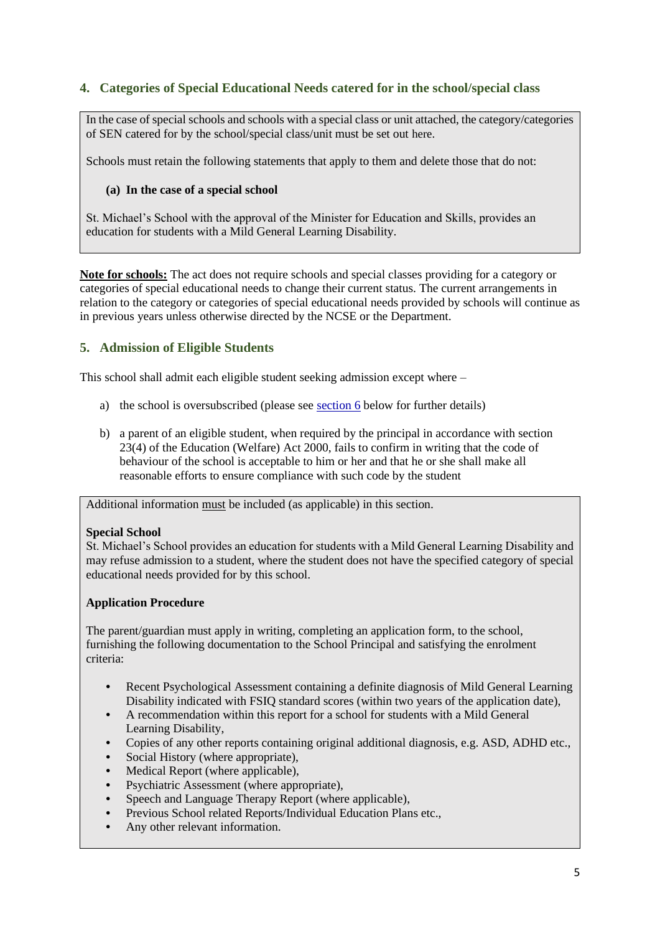## **4. Categories of Special Educational Needs catered for in the school/special class**

In the case of special schools and schools with a special class or unit attached, the category/categories of SEN catered for by the school/special class/unit must be set out here.

Schools must retain the following statements that apply to them and delete those that do not:

#### **(a) In the case of a special school**

St. Michael's School with the approval of the Minister for Education and Skills, provides an education for students with a Mild General Learning Disability.

**Note for schools:** The act does not require schools and special classes providing for a category or categories of special educational needs to change their current status. The current arrangements in relation to the category or categories of special educational needs provided by schools will continue as in previous years unless otherwise directed by the NCSE or the Department.

## **5. Admission of Eligible Students**

This school shall admit each eligible student seeking admission except where –

- a) the school is oversubscribed (please see [section 6](#page-6-0) below for further details)
- b) a parent of an eligible student, when required by the principal in accordance with section 23(4) of the Education (Welfare) Act 2000, fails to confirm in writing that the code of behaviour of the school is acceptable to him or her and that he or she shall make all reasonable efforts to ensure compliance with such code by the student

Additional information must be included (as applicable) in this section.

#### **Special School**

St. Michael's School provides an education for students with a Mild General Learning Disability and may refuse admission to a student, where the student does not have the specified category of special educational needs provided for by this school.

#### **Application Procedure**

The parent/guardian must apply in writing, completing an application form, to the school, furnishing the following documentation to the School Principal and satisfying the enrolment criteria:

- Recent Psychological Assessment containing a definite diagnosis of Mild General Learning Disability indicated with FSIQ standard scores (within two years of the application date),
- **•** A recommendation within this report for a school for students with a Mild General Learning Disability,
- **•** Copies of any other reports containing original additional diagnosis, e.g. ASD, ADHD etc.,
- **•** Social History (where appropriate),
- **•** Medical Report (where applicable),
- **•** Psychiatric Assessment (where appropriate),
- **•** Speech and Language Therapy Report (where applicable),
- **•** Previous School related Reports/Individual Education Plans etc.,
- **•** Any other relevant information.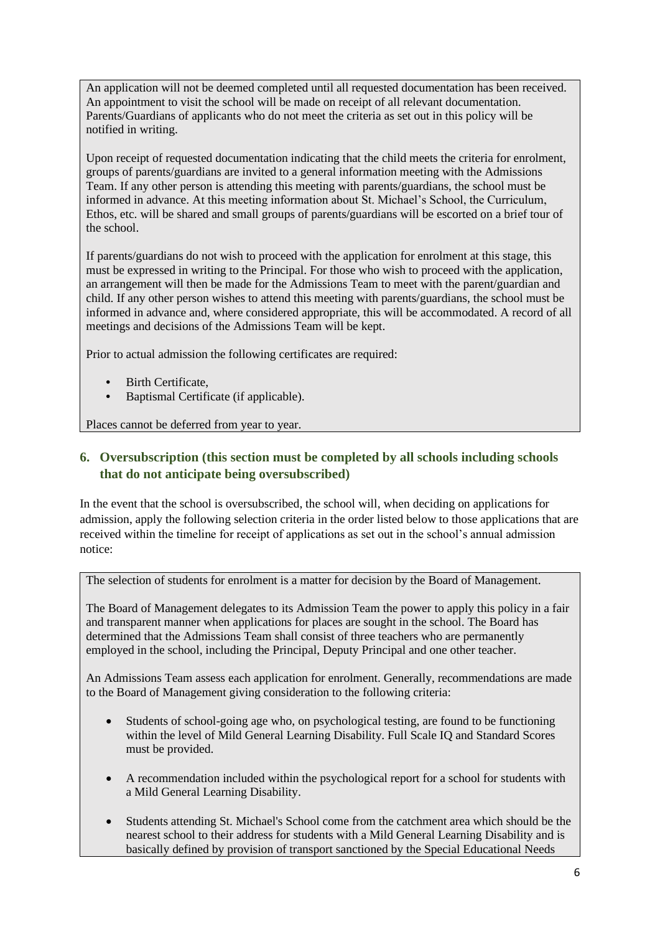An application will not be deemed completed until all requested documentation has been received. An appointment to visit the school will be made on receipt of all relevant documentation. Parents/Guardians of applicants who do not meet the criteria as set out in this policy will be notified in writing.

Upon receipt of requested documentation indicating that the child meets the criteria for enrolment, groups of parents/guardians are invited to a general information meeting with the Admissions Team. If any other person is attending this meeting with parents/guardians, the school must be informed in advance. At this meeting information about St. Michael's School, the Curriculum, Ethos, etc. will be shared and small groups of parents/guardians will be escorted on a brief tour of the school.

If parents/guardians do not wish to proceed with the application for enrolment at this stage, this must be expressed in writing to the Principal. For those who wish to proceed with the application, an arrangement will then be made for the Admissions Team to meet with the parent/guardian and child. If any other person wishes to attend this meeting with parents/guardians, the school must be informed in advance and, where considered appropriate, this will be accommodated. A record of all meetings and decisions of the Admissions Team will be kept.

Prior to actual admission the following certificates are required:

- **•** Birth Certificate,
- **•** Baptismal Certificate (if applicable).

Places cannot be deferred from year to year.

## <span id="page-6-0"></span>**6. Oversubscription (this section must be completed by all schools including schools that do not anticipate being oversubscribed)**

In the event that the school is oversubscribed, the school will, when deciding on applications for admission, apply the following selection criteria in the order listed below to those applications that are received within the timeline for receipt of applications as set out in the school's annual admission notice:

The selection of students for enrolment is a matter for decision by the Board of Management.

The Board of Management delegates to its Admission Team the power to apply this policy in a fair and transparent manner when applications for places are sought in the school. The Board has determined that the Admissions Team shall consist of three teachers who are permanently employed in the school, including the Principal, Deputy Principal and one other teacher.

An Admissions Team assess each application for enrolment. Generally, recommendations are made to the Board of Management giving consideration to the following criteria:

- Students of school-going age who, on psychological testing, are found to be functioning within the level of Mild General Learning Disability. Full Scale IQ and Standard Scores must be provided.
- A recommendation included within the psychological report for a school for students with a Mild General Learning Disability.
- Students attending St. Michael's School come from the catchment area which should be the nearest school to their address for students with a Mild General Learning Disability and is basically defined by provision of transport sanctioned by the Special Educational Needs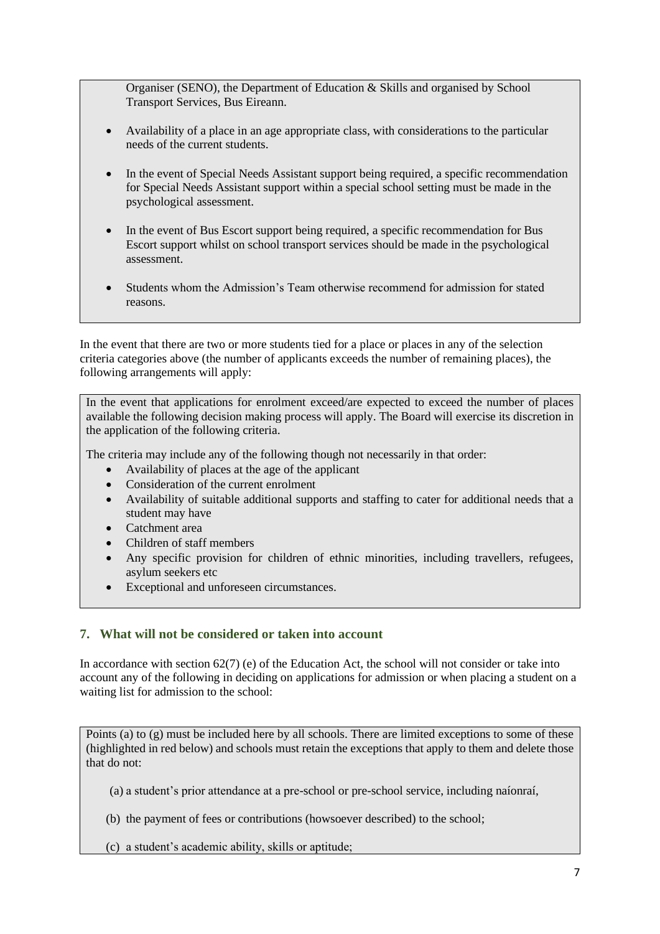Organiser (SENO), the Department of Education & Skills and organised by School Transport Services, Bus Eireann.

- Availability of a place in an age appropriate class, with considerations to the particular needs of the current students.
- In the event of Special Needs Assistant support being required, a specific recommendation for Special Needs Assistant support within a special school setting must be made in the psychological assessment.
- In the event of Bus Escort support being required, a specific recommendation for Bus Escort support whilst on school transport services should be made in the psychological assessment.
- Students whom the Admission's Team otherwise recommend for admission for stated reasons.

In the event that there are two or more students tied for a place or places in any of the selection criteria categories above (the number of applicants exceeds the number of remaining places), the following arrangements will apply:

In the event that applications for enrolment exceed/are expected to exceed the number of places available the following decision making process will apply. The Board will exercise its discretion in the application of the following criteria.

The criteria may include any of the following though not necessarily in that order:

- Availability of places at the age of the applicant
- Consideration of the current enrolment
- Availability of suitable additional supports and staffing to cater for additional needs that a student may have
- Catchment area
- Children of staff members
- Any specific provision for children of ethnic minorities, including travellers, refugees, asylum seekers etc
- Exceptional and unforeseen circumstances.

## **7. What will not be considered or taken into account**

In accordance with section 62(7) (e) of the Education Act, the school will not consider or take into account any of the following in deciding on applications for admission or when placing a student on a waiting list for admission to the school:

Points (a) to (g) must be included here by all schools. There are limited exceptions to some of these (highlighted in red below) and schools must retain the exceptions that apply to them and delete those that do not:

(a) a student's prior attendance at a pre-school or pre-school service, including naíonraí,

- (b) the payment of fees or contributions (howsoever described) to the school;
- (c) a student's academic ability, skills or aptitude;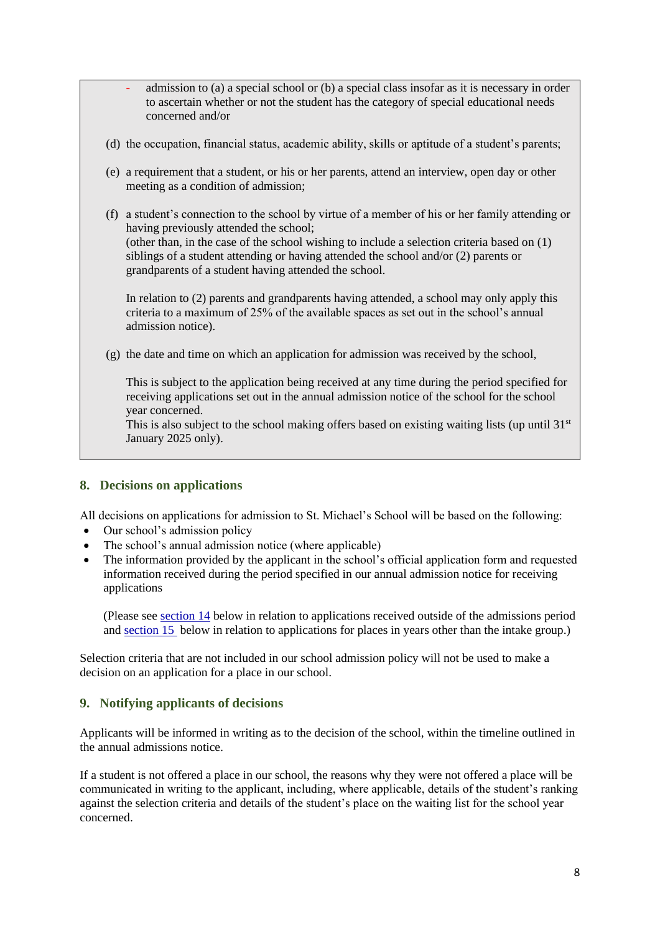- admission to (a) a special school or (b) a special class insofar as it is necessary in order to ascertain whether or not the student has the category of special educational needs concerned and/or
- (d) the occupation, financial status, academic ability, skills or aptitude of a student's parents;
- (e) a requirement that a student, or his or her parents, attend an interview, open day or other meeting as a condition of admission;
- (f) a student's connection to the school by virtue of a member of his or her family attending or having previously attended the school; (other than, in the case of the school wishing to include a selection criteria based on  $(1)$ ) siblings of a student attending or having attended the school and/or (2) parents or grandparents of a student having attended the school.

In relation to (2) parents and grandparents having attended, a school may only apply this criteria to a maximum of 25% of the available spaces as set out in the school's annual admission notice).

(g) the date and time on which an application for admission was received by the school,

This is subject to the application being received at any time during the period specified for receiving applications set out in the annual admission notice of the school for the school year concerned.

This is also subject to the school making offers based on existing waiting lists (up until  $31<sup>st</sup>$ January 2025 only).

## **8. Decisions on applications**

All decisions on applications for admission to St. Michael's School will be based on the following:

- Our school's admission policy
- The school's annual admission notice (where applicable)
- The information provided by the applicant in the school's official application form and requested information received during the period specified in our annual admission notice for receiving applications

(Please se[e section 14](#page-10-0) below in relation to applications received outside of the admissions period and [section 15](#page-11-0) below in relation to applications for places in years other than the intake group.)

Selection criteria that are not included in our school admission policy will not be used to make a decision on an application for a place in our school.

## **9. Notifying applicants of decisions**

Applicants will be informed in writing as to the decision of the school, within the timeline outlined in the annual admissions notice.

If a student is not offered a place in our school, the reasons why they were not offered a place will be communicated in writing to the applicant, including, where applicable, details of the student's ranking against the selection criteria and details of the student's place on the waiting list for the school year concerned.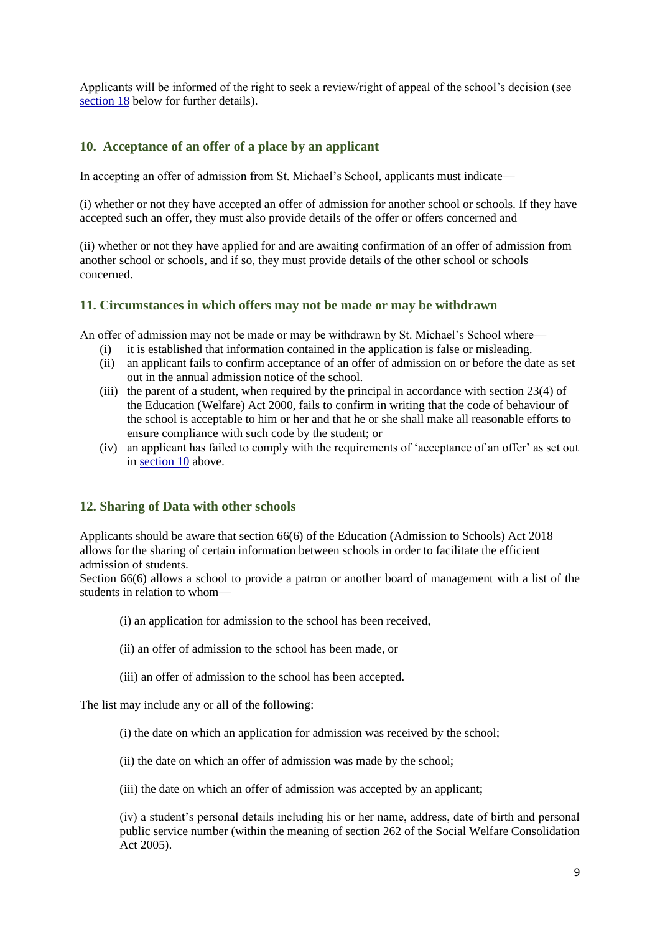Applicants will be informed of the right to seek a review/right of appeal of the school's decision (see [section 18](#page-11-1) below for further details).

## <span id="page-9-0"></span>**10. Acceptance of an offer of a place by an applicant**

In accepting an offer of admission from St. Michael's School, applicants must indicate—

(i) whether or not they have accepted an offer of admission for another school or schools. If they have accepted such an offer, they must also provide details of the offer or offers concerned and

(ii) whether or not they have applied for and are awaiting confirmation of an offer of admission from another school or schools, and if so, they must provide details of the other school or schools concerned.

#### **11. Circumstances in which offers may not be made or may be withdrawn**

An offer of admission may not be made or may be withdrawn by St. Michael's School where—

- (i) it is established that information contained in the application is false or misleading.
- (ii) an applicant fails to confirm acceptance of an offer of admission on or before the date as set out in the annual admission notice of the school.
- (iii) the parent of a student, when required by the principal in accordance with section 23(4) of the Education (Welfare) Act 2000, fails to confirm in writing that the code of behaviour of the school is acceptable to him or her and that he or she shall make all reasonable efforts to ensure compliance with such code by the student; or
- (iv) an applicant has failed to comply with the requirements of 'acceptance of an offer' as set out in [section 10](#page-9-0) above.

## **12. Sharing of Data with other schools**

Applicants should be aware that section 66(6) of the Education (Admission to Schools) Act 2018 allows for the sharing of certain information between schools in order to facilitate the efficient admission of students.

Section 66(6) allows a school to provide a patron or another board of management with a list of the students in relation to whom—

- (i) an application for admission to the school has been received,
- (ii) an offer of admission to the school has been made, or
- (iii) an offer of admission to the school has been accepted.

The list may include any or all of the following:

- (i) the date on which an application for admission was received by the school;
- (ii) the date on which an offer of admission was made by the school;
- (iii) the date on which an offer of admission was accepted by an applicant;

(iv) a student's personal details including his or her name, address, date of birth and personal public service number (within the meaning of section 262 of the Social Welfare Consolidation Act 2005).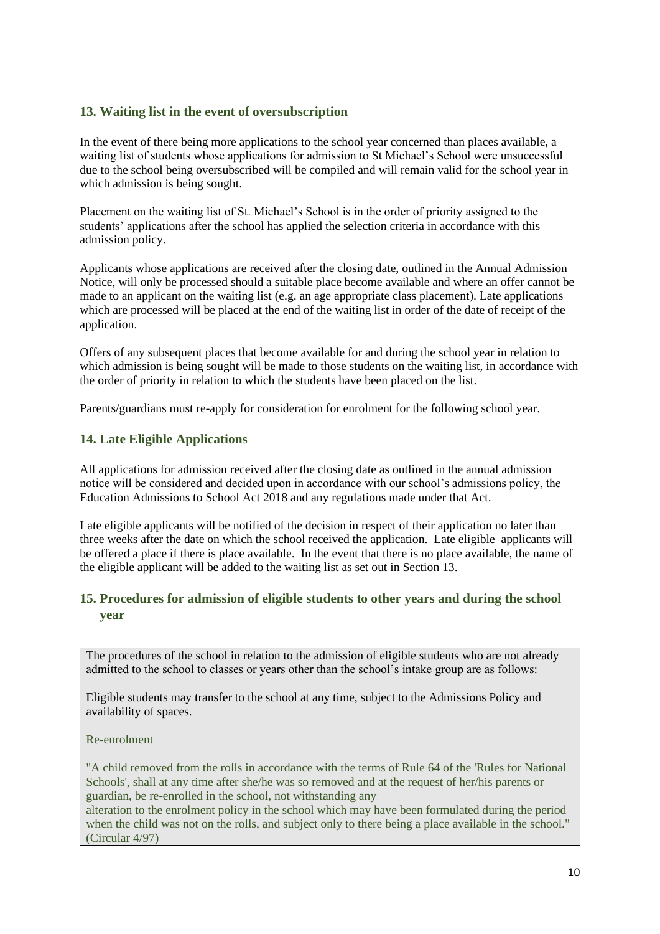## **13. Waiting list in the event of oversubscription**

In the event of there being more applications to the school year concerned than places available, a waiting list of students whose applications for admission to St Michael's School were unsuccessful due to the school being oversubscribed will be compiled and will remain valid for the school year in which admission is being sought.

Placement on the waiting list of St. Michael's School is in the order of priority assigned to the students' applications after the school has applied the selection criteria in accordance with this admission policy.

Applicants whose applications are received after the closing date, outlined in the Annual Admission Notice, will only be processed should a suitable place become available and where an offer cannot be made to an applicant on the waiting list (e.g. an age appropriate class placement). Late applications which are processed will be placed at the end of the waiting list in order of the date of receipt of the application.

Offers of any subsequent places that become available for and during the school year in relation to which admission is being sought will be made to those students on the waiting list, in accordance with the order of priority in relation to which the students have been placed on the list.

Parents/guardians must re-apply for consideration for enrolment for the following school year.

## **14. Late Eligible Applications**

All applications for admission received after the closing date as outlined in the annual admission notice will be considered and decided upon in accordance with our school's admissions policy, the Education Admissions to School Act 2018 and any regulations made under that Act.

Late eligible applicants will be notified of the decision in respect of their application no later than three weeks after the date on which the school received the application. Late eligible applicants will be offered a place if there is place available. In the event that there is no place available, the name of the eligible applicant will be added to the waiting list as set out in Section 13.

## <span id="page-10-0"></span>**15. Procedures for admission of eligible students to other years and during the school year**

The procedures of the school in relation to the admission of eligible students who are not already admitted to the school to classes or years other than the school's intake group are as follows:

Eligible students may transfer to the school at any time, subject to the Admissions Policy and availability of spaces.

#### Re-enrolment

"A child removed from the rolls in accordance with the terms of Rule 64 of the 'Rules for National Schools', shall at any time after she/he was so removed and at the request of her/his parents or guardian, be re-enrolled in the school, not withstanding any

alteration to the enrolment policy in the school which may have been formulated during the period when the child was not on the rolls, and subject only to there being a place available in the school." (Circular 4/97)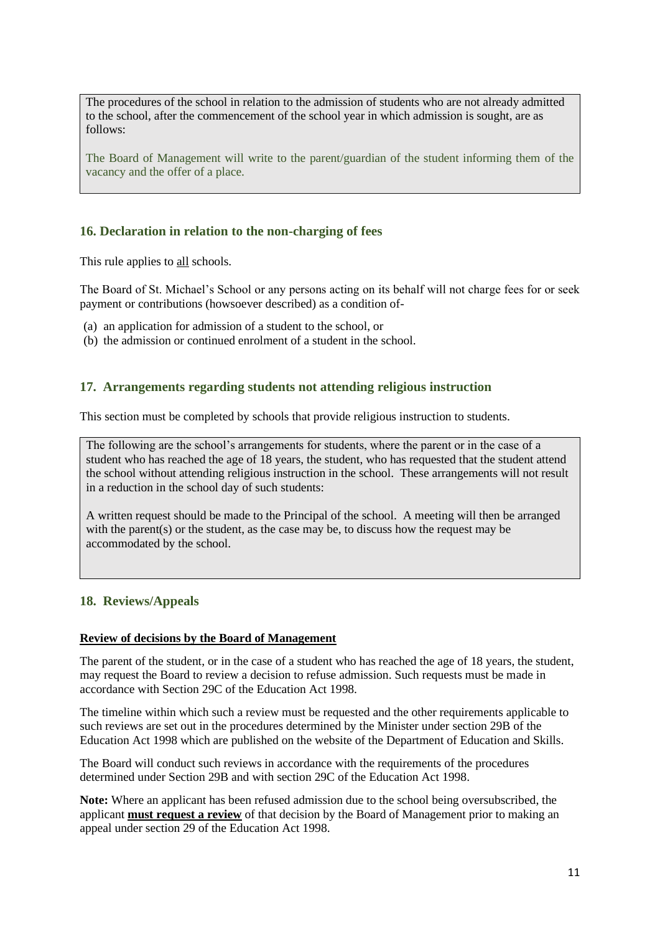The procedures of the school in relation to the admission of students who are not already admitted to the school, after the commencement of the school year in which admission is sought, are as follows:

The Board of Management will write to the parent/guardian of the student informing them of the vacancy and the offer of a place.

## <span id="page-11-0"></span>**16. Declaration in relation to the non-charging of fees**

This rule applies to all schools.

The Board of St. Michael's School or any persons acting on its behalf will not charge fees for or seek payment or contributions (howsoever described) as a condition of-

- (a) an application for admission of a student to the school, or
- (b) the admission or continued enrolment of a student in the school.

## **17. Arrangements regarding students not attending religious instruction**

This section must be completed by schools that provide religious instruction to students.

The following are the school's arrangements for students, where the parent or in the case of a student who has reached the age of 18 years, the student, who has requested that the student attend the school without attending religious instruction in the school. These arrangements will not result in a reduction in the school day of such students:

A written request should be made to the Principal of the school. A meeting will then be arranged with the parent(s) or the student, as the case may be, to discuss how the request may be accommodated by the school.

## <span id="page-11-1"></span>**18. Reviews/Appeals**

#### **Review of decisions by the Board of Management**

The parent of the student, or in the case of a student who has reached the age of 18 years, the student, may request the Board to review a decision to refuse admission. Such requests must be made in accordance with Section 29C of the Education Act 1998.

The timeline within which such a review must be requested and the other requirements applicable to such reviews are set out in the procedures determined by the Minister under section 29B of the Education Act 1998 which are published on the website of the Department of Education and Skills.

The Board will conduct such reviews in accordance with the requirements of the procedures determined under Section 29B and with section 29C of the Education Act 1998.

**Note:** Where an applicant has been refused admission due to the school being oversubscribed, the applicant **must request a review** of that decision by the Board of Management prior to making an appeal under section 29 of the Education Act 1998.